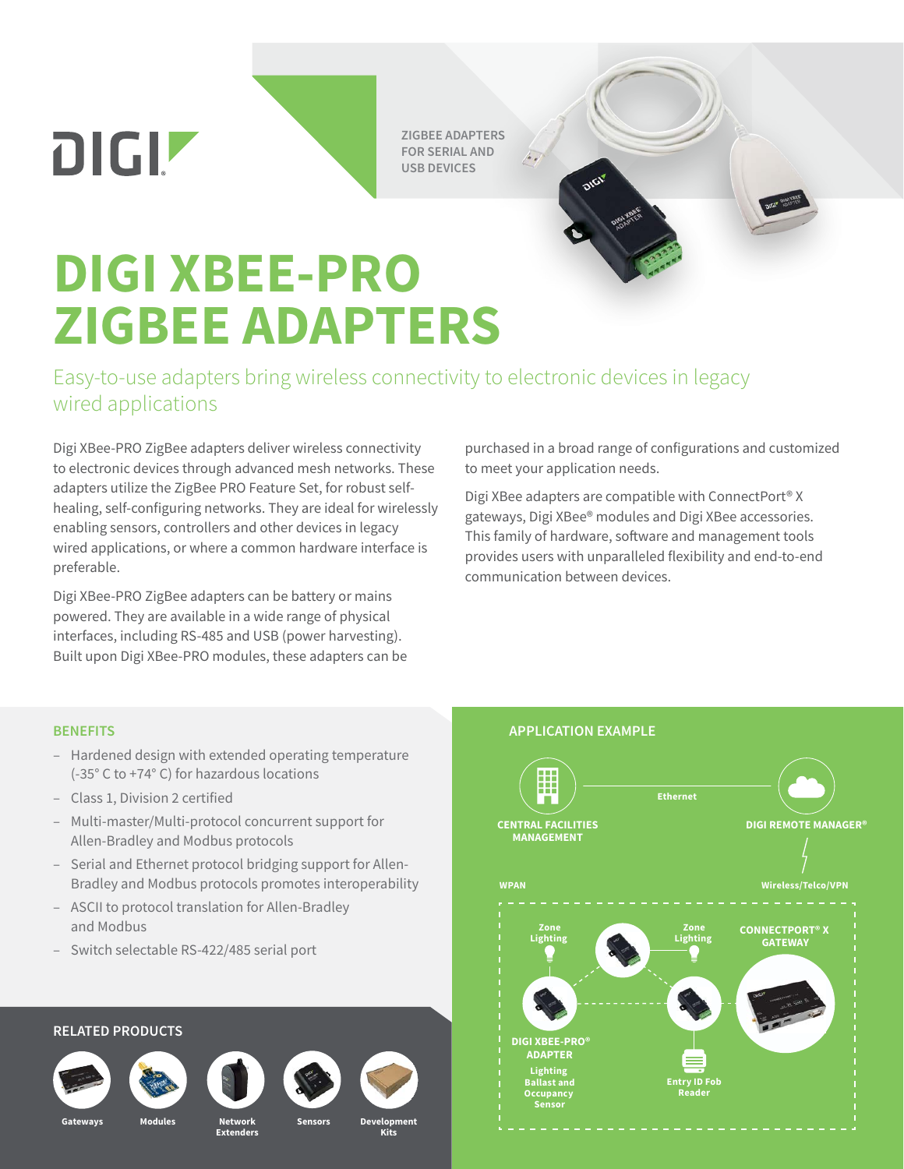**ZIGBEE ADAPTERS FOR SERIAL AND USB DEVICES**

# **DIGI XBEE-PRO ZIGBEE ADAPTERS**

Easy-to-use adapters bring wireless connectivity to electronic devices in legacy wired applications

Digi XBee-PRO ZigBee adapters deliver wireless connectivity to electronic devices through advanced mesh networks. These adapters utilize the ZigBee PRO Feature Set, for robust selfhealing, self-configuring networks. They are ideal for wirelessly enabling sensors, controllers and other devices in legacy wired applications, or where a common hardware interface is preferable.

Digi XBee-PRO ZigBee adapters can be battery or mains powered. They are available in a wide range of physical interfaces, including RS-485 and USB (power harvesting). Built upon Digi XBee-PRO modules, these adapters can be

purchased in a broad range of configurations and customized to meet your application needs.

DIGN

Digi XBee adapters are compatible with ConnectPort® X gateways, Digi XBee® modules and Digi XBee accessories. This family of hardware, software and management tools provides users with unparalleled flexibility and end-to-end communication between devices.

- Hardened design with extended operating temperature (-35° C to +74° C) for hazardous locations
- Class 1, Division 2 certified

DIGIZ

- Multi-master/Multi-protocol concurrent support for Allen-Bradley and Modbus protocols
- Serial and Ethernet protocol bridging support for Allen-Bradley and Modbus protocols promotes interoperability
- ASCII to protocol translation for Allen-Bradley and Modbus
- Switch selectable RS-422/485 serial port

#### **RELATED PRODUCTS**





**Gateways Network**



**Extenders**



**Sensors**

**Modules Development**

**Kits**

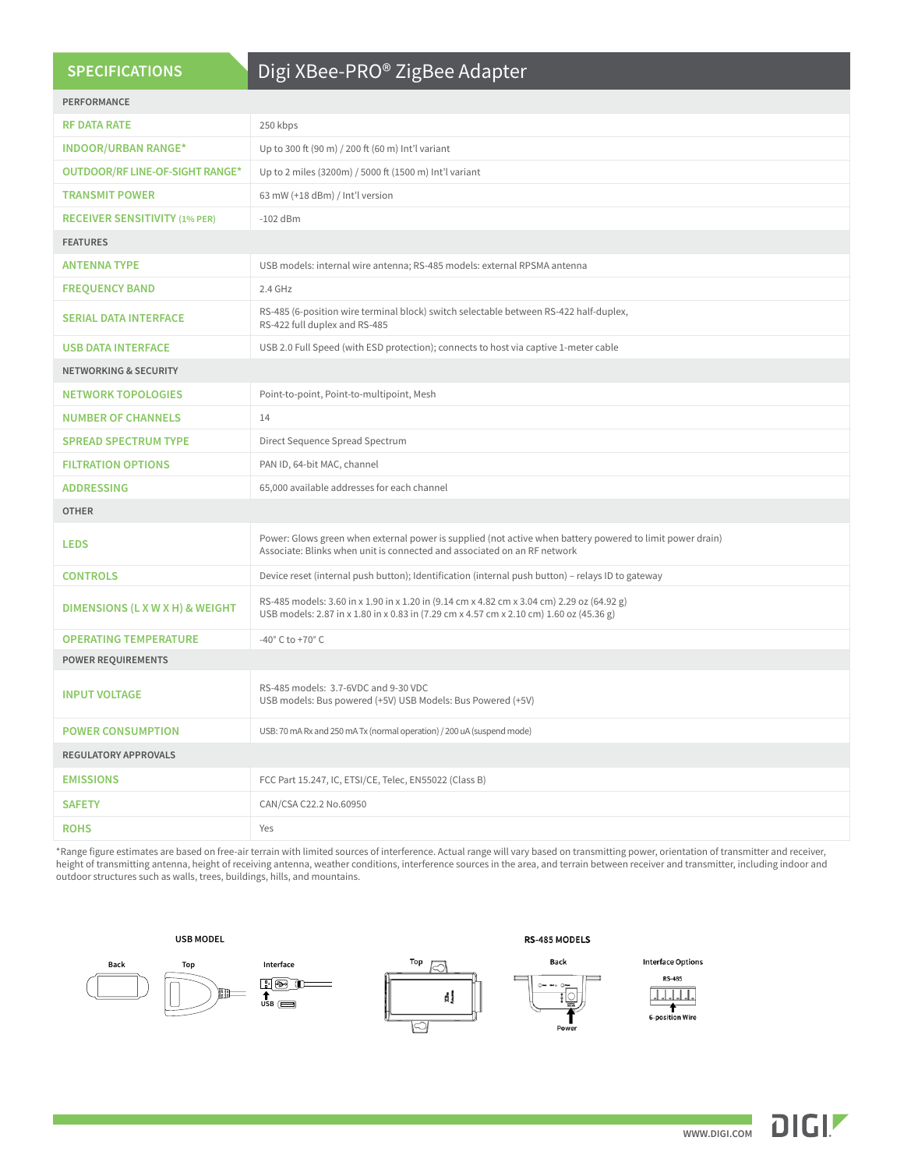### **SPECIFICATIONS**

## Digi XBee-PRO® ZigBee Adapter

| PERFORMANCE                          |                                                                                                                                                                                       |  |
|--------------------------------------|---------------------------------------------------------------------------------------------------------------------------------------------------------------------------------------|--|
| <b>RF DATA RATE</b>                  | 250 kbps                                                                                                                                                                              |  |
| <b>INDOOR/URBAN RANGE*</b>           | Up to 300 ft (90 m) / 200 ft (60 m) Int'l variant                                                                                                                                     |  |
| OUTDOOR/RF LINE-OF-SIGHT RANGE*      | Up to 2 miles (3200m) / 5000 ft (1500 m) Int'l variant                                                                                                                                |  |
| <b>TRANSMIT POWER</b>                | 63 mW (+18 dBm) / Int'l version                                                                                                                                                       |  |
| <b>RECEIVER SENSITIVITY (1% PER)</b> | $-102$ dBm                                                                                                                                                                            |  |
| <b>FEATURES</b>                      |                                                                                                                                                                                       |  |
| <b>ANTENNA TYPE</b>                  | USB models: internal wire antenna; RS-485 models: external RPSMA antenna                                                                                                              |  |
| <b>FREQUENCY BAND</b>                | 2.4 GHz                                                                                                                                                                               |  |
| <b>SERIAL DATA INTERFACE</b>         | RS-485 (6-position wire terminal block) switch selectable between RS-422 half-duplex,<br>RS-422 full duplex and RS-485                                                                |  |
| <b>USB DATA INTERFACE</b>            | USB 2.0 Full Speed (with ESD protection); connects to host via captive 1-meter cable                                                                                                  |  |
| <b>NETWORKING &amp; SECURITY</b>     |                                                                                                                                                                                       |  |
| <b>NETWORK TOPOLOGIES</b>            | Point-to-point, Point-to-multipoint, Mesh                                                                                                                                             |  |
| <b>NUMBER OF CHANNELS</b>            | 14                                                                                                                                                                                    |  |
| <b>SPREAD SPECTRUM TYPE</b>          | Direct Sequence Spread Spectrum                                                                                                                                                       |  |
| <b>FILTRATION OPTIONS</b>            | PAN ID, 64-bit MAC, channel                                                                                                                                                           |  |
| <b>ADDRESSING</b>                    | 65,000 available addresses for each channel                                                                                                                                           |  |
| <b>OTHER</b>                         |                                                                                                                                                                                       |  |
| <b>LEDS</b>                          | Power: Glows green when external power is supplied (not active when battery powered to limit power drain)<br>Associate: Blinks when unit is connected and associated on an RF network |  |
| <b>CONTROLS</b>                      | Device reset (internal push button); Identification (internal push button) - relays ID to gateway                                                                                     |  |
| DIMENSIONS (L X W X H) & WEIGHT      | RS-485 models: 3.60 in x 1.90 in x 1.20 in (9.14 cm x 4.82 cm x 3.04 cm) 2.29 oz (64.92 g)<br>USB models: 2.87 in x 1.80 in x 0.83 in (7.29 cm x 4.57 cm x 2.10 cm) 1.60 oz (45.36 g) |  |
| <b>OPERATING TEMPERATURE</b>         | -40 $^{\circ}$ C to +70 $^{\circ}$ C                                                                                                                                                  |  |
| <b>POWER REQUIREMENTS</b>            |                                                                                                                                                                                       |  |
| <b>INPUT VOLTAGE</b>                 | RS-485 models: 3.7-6VDC and 9-30 VDC<br>USB models: Bus powered (+5V) USB Models: Bus Powered (+5V)                                                                                   |  |
| <b>POWER CONSUMPTION</b>             | USB: 70 mA Rx and 250 mA Tx (normal operation) / 200 uA (suspend mode)                                                                                                                |  |
| <b>REGULATORY APPROVALS</b>          |                                                                                                                                                                                       |  |
| <b>EMISSIONS</b>                     | FCC Part 15.247, IC, ETSI/CE, Telec, EN55022 (Class B)                                                                                                                                |  |
| <b>SAFETY</b>                        | CAN/CSA C22.2 No.60950                                                                                                                                                                |  |
| <b>ROHS</b>                          | Yes                                                                                                                                                                                   |  |

\*Range figure estimates are based on free-air terrain with limited sources of interference. Actual range will vary based on transmitting power, orientation of transmitter and receiver, height of transmitting antenna, height of receiving antenna, weather conditions, interference sources in the area, and terrain between receiver and transmitter, including indoor and outdoor structures such as walls, trees, buildings, hills, and mountains.

**USB MODEL**